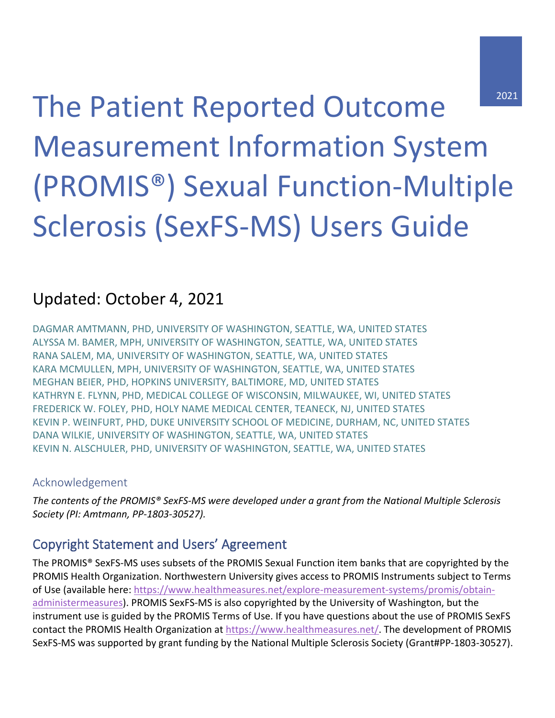The Patient Reported Outcome Measurement Information System (PROMIS®) Sexual Function-Multiple Sclerosis (SexFS-MS) Users Guide

# Updated: October 4, 2021

DAGMAR AMTMANN, PHD, UNIVERSITY OF WASHINGTON, SEATTLE, WA, UNITED STATES ALYSSA M. BAMER, MPH, UNIVERSITY OF WASHINGTON, SEATTLE, WA, UNITED STATES RANA SALEM, MA, UNIVERSITY OF WASHINGTON, SEATTLE, WA, UNITED STATES KARA MCMULLEN, MPH, UNIVERSITY OF WASHINGTON, SEATTLE, WA, UNITED STATES MEGHAN BEIER, PHD, HOPKINS UNIVERSITY, BALTIMORE, MD, UNITED STATES KATHRYN E. FLYNN, PHD, MEDICAL COLLEGE OF WISCONSIN, MILWAUKEE, WI, UNITED STATES FREDERICK W. FOLEY, PHD, HOLY NAME MEDICAL CENTER, TEANECK, NJ, UNITED STATES KEVIN P. WEINFURT, PHD, DUKE UNIVERSITY SCHOOL OF MEDICINE, DURHAM, NC, UNITED STATES DANA WILKIE, UNIVERSITY OF WASHINGTON, SEATTLE, WA, UNITED STATES KEVIN N. ALSCHULER, PHD, UNIVERSITY OF WASHINGTON, SEATTLE, WA, UNITED STATES

#### Acknowledgement

*The contents of the PROMIS® SexFS-MS were developed under a grant from the National Multiple Sclerosis Society (PI: Amtmann, PP-1803-30527).* 

### Copyright Statement and Users' Agreement

The PROMIS® SexFS-MS uses subsets of the PROMIS Sexual Function item banks that are copyrighted by the PROMIS Health Organization. Northwestern University gives access to PROMIS Instruments subject to Terms of Use (available here: [https://www.healthmeasures.net/explore-measurement-systems/promis/obtain](https://www.healthmeasures.net/explore-measurement-systems/promis/obtain-administermeasures)[administermeasures\)](https://www.healthmeasures.net/explore-measurement-systems/promis/obtain-administermeasures). PROMIS SexFS-MS is also copyrighted by the University of Washington, but the instrument use is guided by the PROMIS Terms of Use. If you have questions about the use of PROMIS SexFS contact the PROMIS Health Organization at [https://www.healthmeasures.net/.](https://www.healthmeasures.net/) The development of PROMIS SexFS-MS was supported by grant funding by the National Multiple Sclerosis Society (Grant#PP-1803-30527).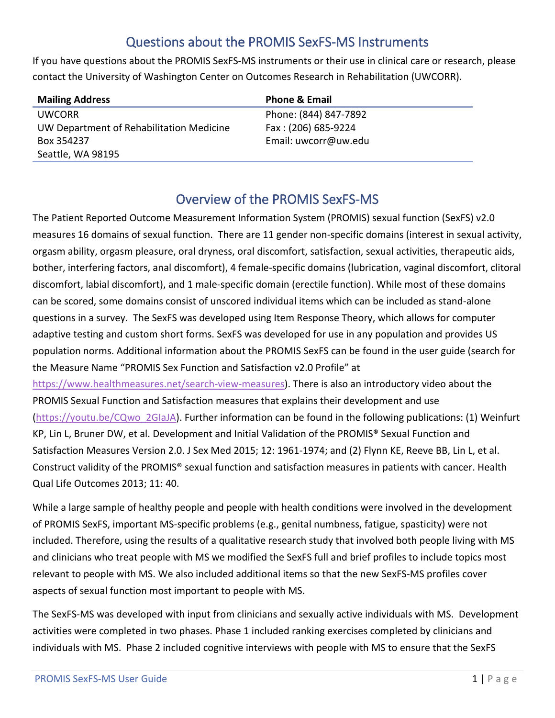## Questions about the PROMIS SexFS-MS Instruments

If you have questions about the PROMIS SexFS-MS instruments or their use in clinical care or research, please contact the University of Washington Center on Outcomes Research in Rehabilitation (UWCORR).

| <b>Mailing Address</b>                   | <b>Phone &amp; Email</b> |
|------------------------------------------|--------------------------|
| <b>UWCORR</b>                            | Phone: (844) 847-7892    |
| UW Department of Rehabilitation Medicine | Fax: (206) 685-9224      |
| Box 354237                               | Email: uwcorr@uw.edu     |
| Seattle, WA 98195                        |                          |

### Overview of the PROMIS SexFS-MS

The Patient Reported Outcome Measurement Information System (PROMIS) sexual function (SexFS) v2.0 measures 16 domains of sexual function. There are 11 gender non-specific domains (interest in sexual activity, orgasm ability, orgasm pleasure, oral dryness, oral discomfort, satisfaction, sexual activities, therapeutic aids, bother, interfering factors, anal discomfort), 4 female-specific domains (lubrication, vaginal discomfort, clitoral discomfort, labial discomfort), and 1 male-specific domain (erectile function). While most of these domains can be scored, some domains consist of unscored individual items which can be included as stand-alone questions in a survey. The SexFS was developed using Item Response Theory, which allows for computer adaptive testing and custom short forms. SexFS was developed for use in any population and provides US population norms. Additional information about the PROMIS SexFS can be found in the user guide (search for the Measure Name "PROMIS Sex Function and Satisfaction v2.0 Profile" at [https://www.healthmeasures.net/search-view-measures\)](https://www.healthmeasures.net/search-view-measures). There is also an introductory video about the PROMIS Sexual Function and Satisfaction measures that explains their development and use [\(https://youtu.be/CQwo\\_2GIaJA\)](https://youtu.be/CQwo_2GIaJA). Further information can be found in the following publications: (1) Weinfurt KP, Lin L, Bruner DW, et al. Development and Initial Validation of the PROMIS® Sexual Function and Satisfaction Measures Version 2.0. J Sex Med 2015; 12: 1961-1974; and (2) Flynn KE, Reeve BB, Lin L, et al.

Construct validity of the PROMIS® sexual function and satisfaction measures in patients with cancer. Health Qual Life Outcomes 2013; 11: 40.

While a large sample of healthy people and people with health conditions were involved in the development of PROMIS SexFS, important MS-specific problems (e.g., genital numbness, fatigue, spasticity) were not included. Therefore, using the results of a qualitative research study that involved both people living with MS and clinicians who treat people with MS we modified the SexFS full and brief profiles to include topics most relevant to people with MS. We also included additional items so that the new SexFS-MS profiles cover aspects of sexual function most important to people with MS.

The SexFS-MS was developed with input from clinicians and sexually active individuals with MS. Development activities were completed in two phases. Phase 1 included ranking exercises completed by clinicians and individuals with MS. Phase 2 included cognitive interviews with people with MS to ensure that the SexFS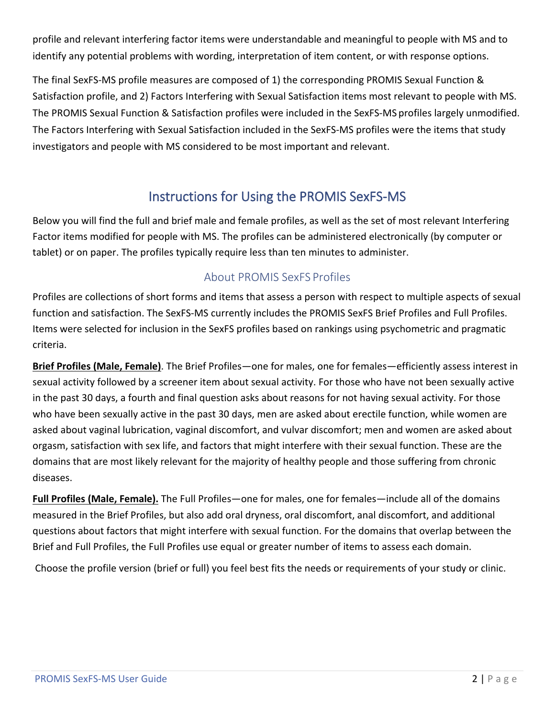profile and relevant interfering factor items were understandable and meaningful to people with MS and to identify any potential problems with wording, interpretation of item content, or with response options.

The final SexFS-MS profile measures are composed of 1) the corresponding PROMIS Sexual Function & Satisfaction profile, and 2) Factors Interfering with Sexual Satisfaction items most relevant to people with MS. The PROMIS Sexual Function & Satisfaction profiles were included in the SexFS-MS profiles largely unmodified. The Factors Interfering with Sexual Satisfaction included in the SexFS-MS profiles were the items that study investigators and people with MS considered to be most important and relevant.

### Instructions for Using the PROMIS SexFS-MS

Below you will find the full and brief male and female profiles, as well as the set of most relevant Interfering Factor items modified for people with MS. The profiles can be administered electronically (by computer or tablet) or on paper. The profiles typically require less than ten minutes to administer.

#### About PROMIS SexFS Profiles

Profiles are collections of short forms and items that assess a person with respect to multiple aspects of sexual function and satisfaction. The SexFS-MS currently includes the PROMIS SexFS Brief Profiles and Full Profiles. Items were selected for inclusion in the SexFS profiles based on rankings using psychometric and pragmatic criteria.

**Brief Profiles (Male, Female)**. The Brief Profiles—one for males, one for females—efficiently assess interest in sexual activity followed by a screener item about sexual activity. For those who have not been sexually active in the past 30 days, a fourth and final question asks about reasons for not having sexual activity. For those who have been sexually active in the past 30 days, men are asked about erectile function, while women are asked about vaginal lubrication, vaginal discomfort, and vulvar discomfort; men and women are asked about orgasm, satisfaction with sex life, and factors that might interfere with their sexual function. These are the domains that are most likely relevant for the majority of healthy people and those suffering from chronic diseases.

**Full Profiles (Male, Female).** The Full Profiles—one for males, one for females—include all of the domains measured in the Brief Profiles, but also add oral dryness, oral discomfort, anal discomfort, and additional questions about factors that might interfere with sexual function. For the domains that overlap between the Brief and Full Profiles, the Full Profiles use equal or greater number of items to assess each domain.

Choose the profile version (brief or full) you feel best fits the needs or requirements of your study or clinic.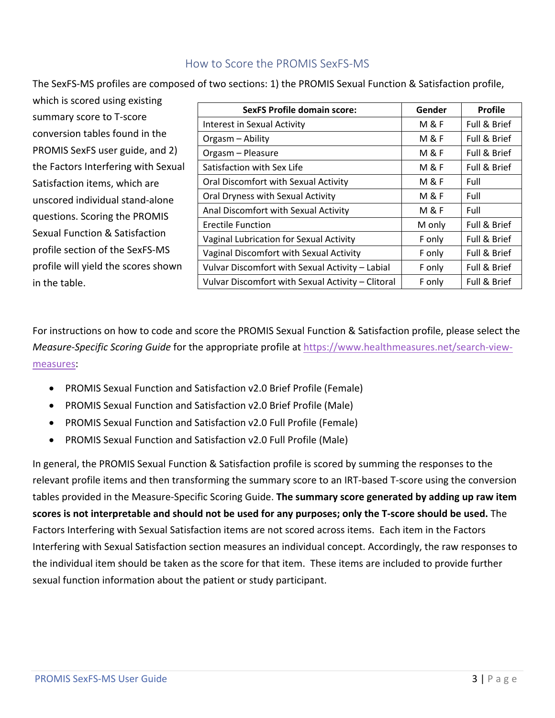#### How to Score the PROMIS SexFS-MS

The SexFS-MS profiles are composed of two sections: 1) the PROMIS Sexual Function & Satisfaction profile,

| which is scored using existing      |                                                   |                |                |  |
|-------------------------------------|---------------------------------------------------|----------------|----------------|--|
| summary score to T-score            | <b>SexFS Profile domain score:</b>                | Gender         | <b>Profile</b> |  |
|                                     | Interest in Sexual Activity                       | M & F          | Full & Brief   |  |
| conversion tables found in the      | Orgasm - Ability                                  | M&F            | Full & Brief   |  |
| PROMIS SexFS user guide, and 2)     | Orgasm - Pleasure                                 | M & F          | Full & Brief   |  |
| the Factors Interfering with Sexual | Satisfaction with Sex Life                        | M & F          | Full & Brief   |  |
| Satisfaction items, which are       | Oral Discomfort with Sexual Activity              | M & F          | Full           |  |
| unscored individual stand-alone     | Oral Dryness with Sexual Activity                 | M&F            | Full           |  |
| questions. Scoring the PROMIS       | Anal Discomfort with Sexual Activity              | <b>M&amp;F</b> | Full           |  |
|                                     | Erectile Function                                 | M only         | Full & Brief   |  |
| Sexual Function & Satisfaction      | Vaginal Lubrication for Sexual Activity           | F only         | Full & Brief   |  |
| profile section of the SexFS-MS     | Vaginal Discomfort with Sexual Activity           | F only         | Full & Brief   |  |
| profile will yield the scores shown | Vulvar Discomfort with Sexual Activity - Labial   | F only         | Full & Brief   |  |
| in the table.                       | Vulvar Discomfort with Sexual Activity - Clitoral | F only         | Full & Brief   |  |

For instructions on how to code and score the PROMIS Sexual Function & Satisfaction profile, please select the *Measure-Specific Scoring Guide* for the appropriate profile at [https://www.healthmeasures.net/search-view](https://www.healthmeasures.net/search-view-measures)[measures:](https://www.healthmeasures.net/search-view-measures)

- PROMIS Sexual Function and Satisfaction v2.0 Brief Profile (Female)
- PROMIS Sexual Function and Satisfaction v2.0 Brief Profile (Male)
- PROMIS Sexual Function and Satisfaction v2.0 Full Profile (Female)
- PROMIS Sexual Function and Satisfaction v2.0 Full Profile (Male)

In general, the PROMIS Sexual Function & Satisfaction profile is scored by summing the responses to the relevant profile items and then transforming the summary score to an IRT-based T-score using the conversion tables provided in the Measure-Specific Scoring Guide. **The summary score generated by adding up raw item scores is not interpretable and should not be used for any purposes; only the T-score should be used.** The Factors Interfering with Sexual Satisfaction items are not scored across items. Each item in the Factors Interfering with Sexual Satisfaction section measures an individual concept. Accordingly, the raw responses to the individual item should be taken as the score for that item. These items are included to provide further sexual function information about the patient or study participant.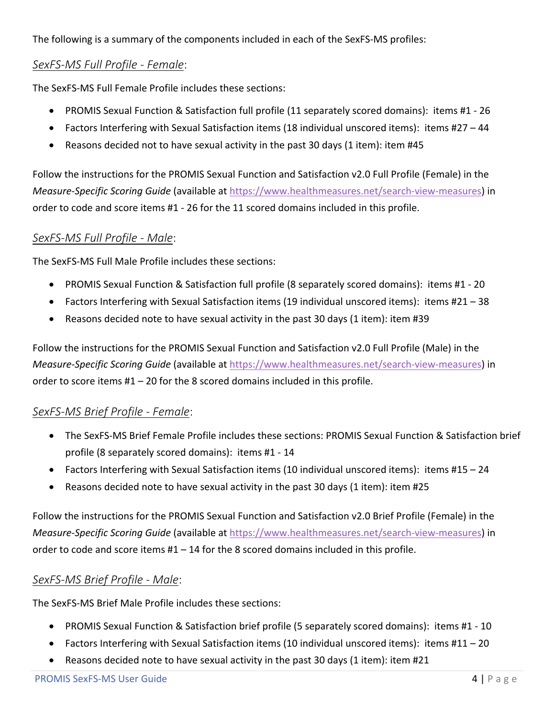The following is a summary of the components included in each of the SexFS-MS profiles:

#### *SexFS-MS Full Profile - Female*:

The SexFS-MS Full Female Profile includes these sections:

- PROMIS Sexual Function & Satisfaction full profile (11 separately scored domains): items #1 26
- Factors Interfering with Sexual Satisfaction items (18 individual unscored items): items #27 44
- Reasons decided not to have sexual activity in the past 30 days (1 item): item #45

Follow the instructions for the PROMIS Sexual Function and Satisfaction v2.0 Full Profile (Female) in the *Measure-Specific Scoring Guide* (available at [https://www.healthmeasures.net/search-view-measures\)](https://www.healthmeasures.net/search-view-measures) in order to code and score items #1 - 26 for the 11 scored domains included in this profile.

#### *SexFS-MS Full Profile - Male*:

The SexFS-MS Full Male Profile includes these sections:

- PROMIS Sexual Function & Satisfaction full profile (8 separately scored domains): items #1 20
- Factors Interfering with Sexual Satisfaction items (19 individual unscored items): items #21 38
- Reasons decided note to have sexual activity in the past 30 days (1 item): item #39

Follow the instructions for the PROMIS Sexual Function and Satisfaction v2.0 Full Profile (Male) in the *Measure-Specific Scoring Guide* (available at [https://www.healthmeasures.net/search-view-measures\)](https://www.healthmeasures.net/search-view-measures) in order to score items #1 – 20 for the 8 scored domains included in this profile.

#### *SexFS-MS Brief Profile - Female*:

- The SexFS-MS Brief Female Profile includes these sections: PROMIS Sexual Function & Satisfaction brief profile (8 separately scored domains): items #1 - 14
- Factors Interfering with Sexual Satisfaction items (10 individual unscored items): items #15 24
- Reasons decided note to have sexual activity in the past 30 days (1 item): item #25

Follow the instructions for the PROMIS Sexual Function and Satisfaction v2.0 Brief Profile (Female) in the *Measure-Specific Scoring Guide* (available at [https://www.healthmeasures.net/search-view-measures\)](https://www.healthmeasures.net/search-view-measures) in order to code and score items  $#1 - 14$  for the 8 scored domains included in this profile.

#### *SexFS-MS Brief Profile - Male*:

The SexFS-MS Brief Male Profile includes these sections:

- PROMIS Sexual Function & Satisfaction brief profile (5 separately scored domains): items #1 10
- Factors Interfering with Sexual Satisfaction items (10 individual unscored items): items #11 20
- Reasons decided note to have sexual activity in the past 30 days (1 item): item #21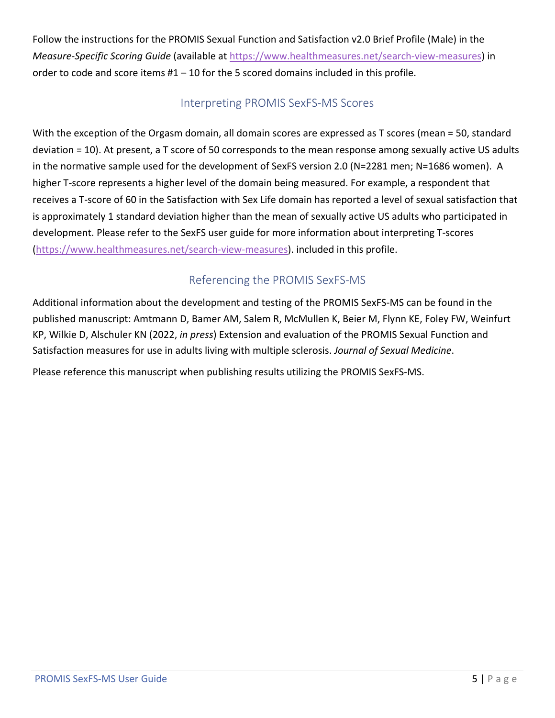Follow the instructions for the PROMIS Sexual Function and Satisfaction v2.0 Brief Profile (Male) in the *Measure-Specific Scoring Guide* (available at [https://www.healthmeasures.net/search-view-measures\)](https://www.healthmeasures.net/search-view-measures) in order to code and score items  $#1 - 10$  for the 5 scored domains included in this profile.

#### Interpreting PROMIS SexFS-MS Scores

With the exception of the Orgasm domain, all domain scores are expressed as T scores (mean = 50, standard deviation = 10). At present, a T score of 50 corresponds to the mean response among sexually active US adults in the normative sample used for the development of SexFS version 2.0 (N=2281 men; N=1686 women). A higher T-score represents a higher level of the domain being measured. For example, a respondent that receives a T-score of 60 in the Satisfaction with Sex Life domain has reported a level of sexual satisfaction that is approximately 1 standard deviation higher than the mean of sexually active US adults who participated in development. Please refer to the SexFS user guide for more information about interpreting T-scores [\(https://www.healthmeasures.net/search-view-measures\)](https://www.healthmeasures.net/search-view-measures). included in this profile.

### Referencing the PROMIS SexFS-MS

Additional information about the development and testing of the PROMIS SexFS-MS can be found in the published manuscript: Amtmann D, Bamer AM, Salem R, McMullen K, Beier M, Flynn KE, Foley FW, Weinfurt KP, Wilkie D, Alschuler KN (2022, *in press*) Extension and evaluation of the PROMIS Sexual Function and Satisfaction measures for use in adults living with multiple sclerosis. *Journal of Sexual Medicine*.

Please reference this manuscript when publishing results utilizing the PROMIS SexFS-MS.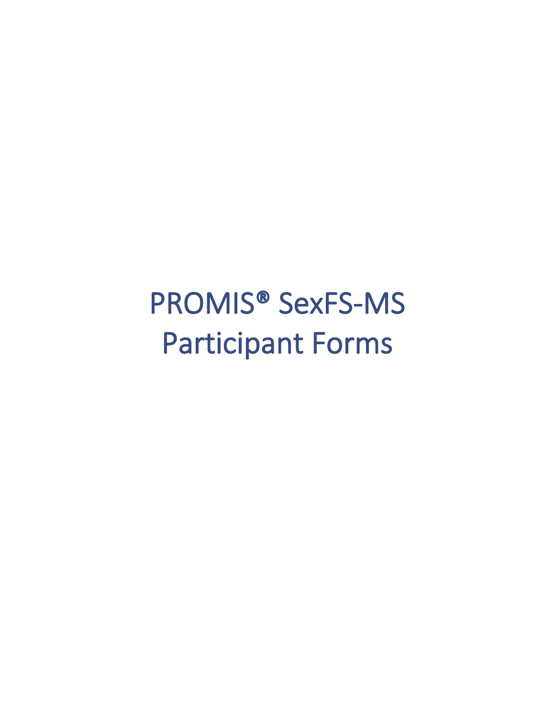# PROMIS® SexFS-MS Participant Forms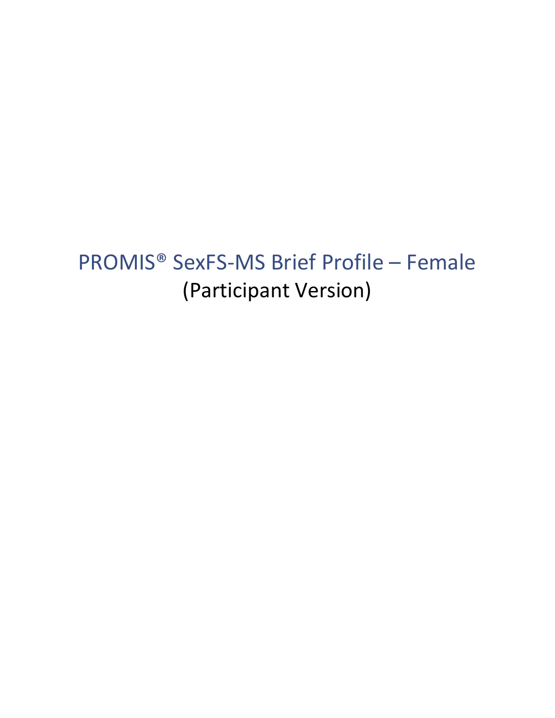# PROMIS® SexFS-MS Brief Profile – Female (Participant Version)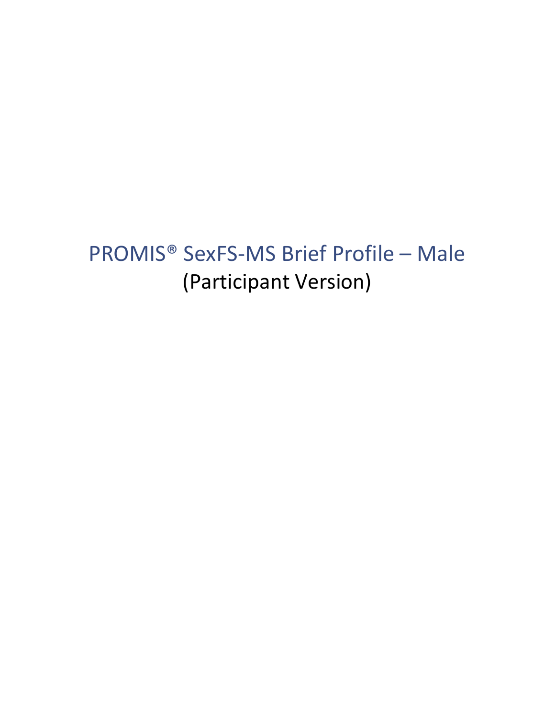# PROMIS® SexFS-MS Brief Profile – Male (Participant Version)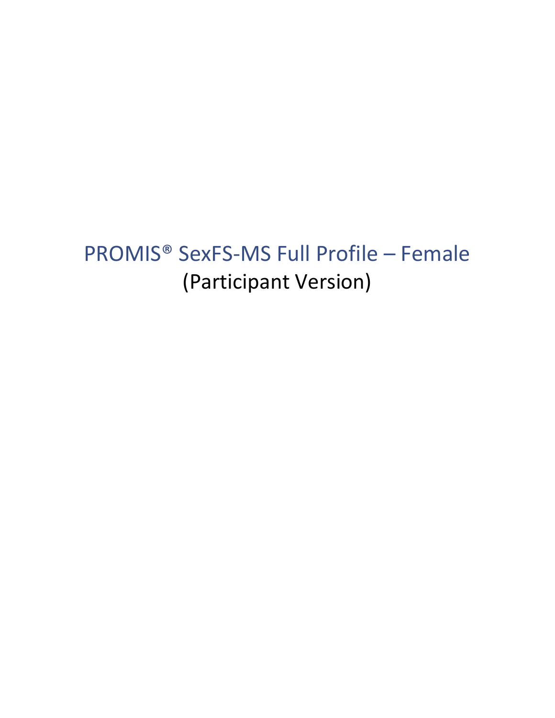# PROMIS® SexFS-MS Full Profile – Female (Participant Version)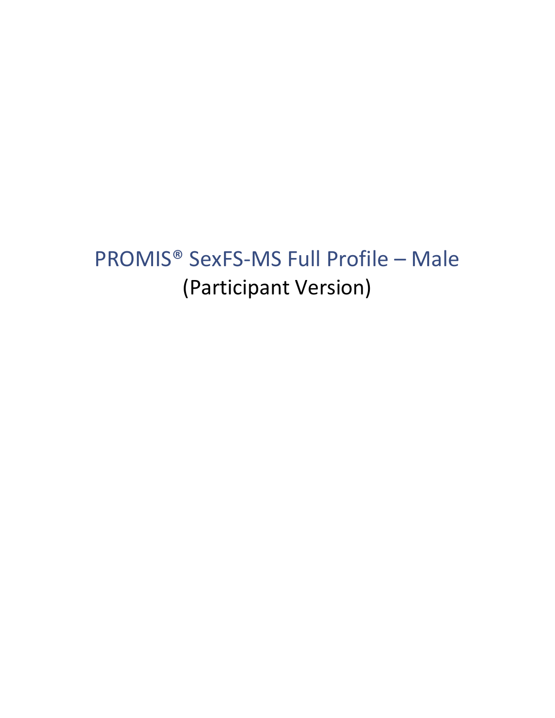# PROMIS® SexFS-MS Full Profile – Male (Participant Version)